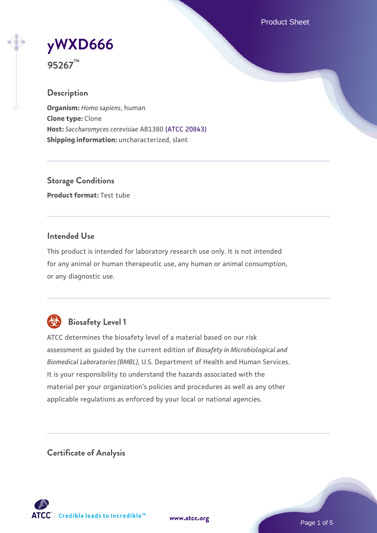Product Sheet

# **[yWXD666](https://www.atcc.org/products/95267)**

**95267™**

# **Description**

**Organism:** *Homo sapiens*, human **Clone type:** Clone **Host:** *Saccharomyces cerevisiae* AB1380 [\(ATCC 20843\)](https://www.atcc.org/products/20843) **Shipping information:** uncharacterized, slant

**Storage Conditions Product format:** Test tube

## **Intended Use**

This product is intended for laboratory research use only. It is not intended for any animal or human therapeutic use, any human or animal consumption, or any diagnostic use.



# **Biosafety Level 1**

ATCC determines the biosafety level of a material based on our risk assessment as guided by the current edition of *Biosafety in Microbiological and Biomedical Laboratories (BMBL)*, U.S. Department of Health and Human Services. It is your responsibility to understand the hazards associated with the material per your organization's policies and procedures as well as any other applicable regulations as enforced by your local or national agencies.

**Certificate of Analysis**

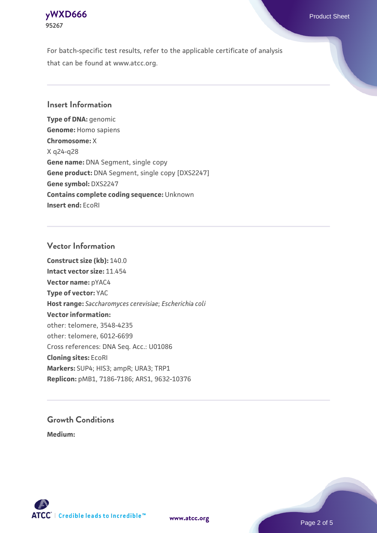

For batch-specific test results, refer to the applicable certificate of analysis that can be found at www.atcc.org.

### **Insert Information**

**Type of DNA:** genomic **Genome:** Homo sapiens **Chromosome:** X X q24-q28 **Gene name:** DNA Segment, single copy **Gene product:** DNA Segment, single copy [DXS2247] **Gene symbol:** DXS2247 **Contains complete coding sequence:** Unknown **Insert end:** EcoRI

#### **Vector Information**

**Construct size (kb):** 140.0 **Intact vector size:** 11.454 **Vector name:** pYAC4 **Type of vector:** YAC **Host range:** *Saccharomyces cerevisiae*; *Escherichia coli* **Vector information:** other: telomere, 3548-4235 other: telomere, 6012-6699 Cross references: DNA Seq. Acc.: U01086 **Cloning sites:** EcoRI **Markers:** SUP4; HIS3; ampR; URA3; TRP1 **Replicon:** pMB1, 7186-7186; ARS1, 9632-10376

# **Growth Conditions**

**Medium:** 



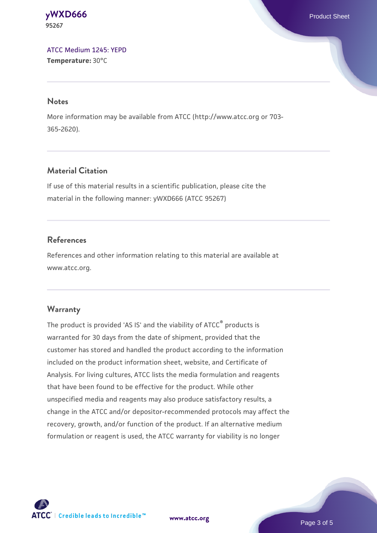#### **[yWXD666](https://www.atcc.org/products/95267)** Product Sheet **95267**

[ATCC Medium 1245: YEPD](https://www.atcc.org/-/media/product-assets/documents/microbial-media-formulations/1/2/4/5/atcc-medium-1245.pdf?rev=705ca55d1b6f490a808a965d5c072196) **Temperature:** 30°C

#### **Notes**

More information may be available from ATCC (http://www.atcc.org or 703- 365-2620).

# **Material Citation**

If use of this material results in a scientific publication, please cite the material in the following manner: yWXD666 (ATCC 95267)

# **References**

References and other information relating to this material are available at www.atcc.org.

# **Warranty**

The product is provided 'AS IS' and the viability of ATCC® products is warranted for 30 days from the date of shipment, provided that the customer has stored and handled the product according to the information included on the product information sheet, website, and Certificate of Analysis. For living cultures, ATCC lists the media formulation and reagents that have been found to be effective for the product. While other unspecified media and reagents may also produce satisfactory results, a change in the ATCC and/or depositor-recommended protocols may affect the recovery, growth, and/or function of the product. If an alternative medium formulation or reagent is used, the ATCC warranty for viability is no longer



**[www.atcc.org](http://www.atcc.org)**

Page 3 of 5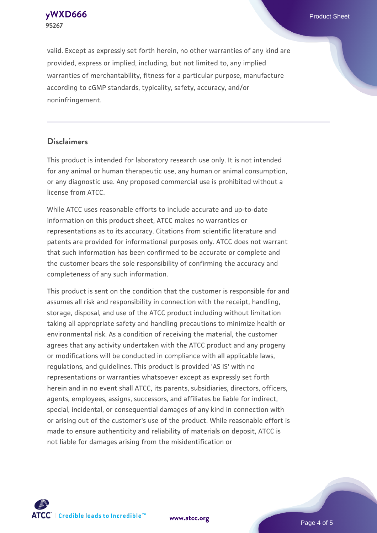**[yWXD666](https://www.atcc.org/products/95267)** Product Sheet **95267**

valid. Except as expressly set forth herein, no other warranties of any kind are provided, express or implied, including, but not limited to, any implied warranties of merchantability, fitness for a particular purpose, manufacture according to cGMP standards, typicality, safety, accuracy, and/or noninfringement.

#### **Disclaimers**

This product is intended for laboratory research use only. It is not intended for any animal or human therapeutic use, any human or animal consumption, or any diagnostic use. Any proposed commercial use is prohibited without a license from ATCC.

While ATCC uses reasonable efforts to include accurate and up-to-date information on this product sheet, ATCC makes no warranties or representations as to its accuracy. Citations from scientific literature and patents are provided for informational purposes only. ATCC does not warrant that such information has been confirmed to be accurate or complete and the customer bears the sole responsibility of confirming the accuracy and completeness of any such information.

This product is sent on the condition that the customer is responsible for and assumes all risk and responsibility in connection with the receipt, handling, storage, disposal, and use of the ATCC product including without limitation taking all appropriate safety and handling precautions to minimize health or environmental risk. As a condition of receiving the material, the customer agrees that any activity undertaken with the ATCC product and any progeny or modifications will be conducted in compliance with all applicable laws, regulations, and guidelines. This product is provided 'AS IS' with no representations or warranties whatsoever except as expressly set forth herein and in no event shall ATCC, its parents, subsidiaries, directors, officers, agents, employees, assigns, successors, and affiliates be liable for indirect, special, incidental, or consequential damages of any kind in connection with or arising out of the customer's use of the product. While reasonable effort is made to ensure authenticity and reliability of materials on deposit, ATCC is not liable for damages arising from the misidentification or



**[www.atcc.org](http://www.atcc.org)**

Page 4 of 5